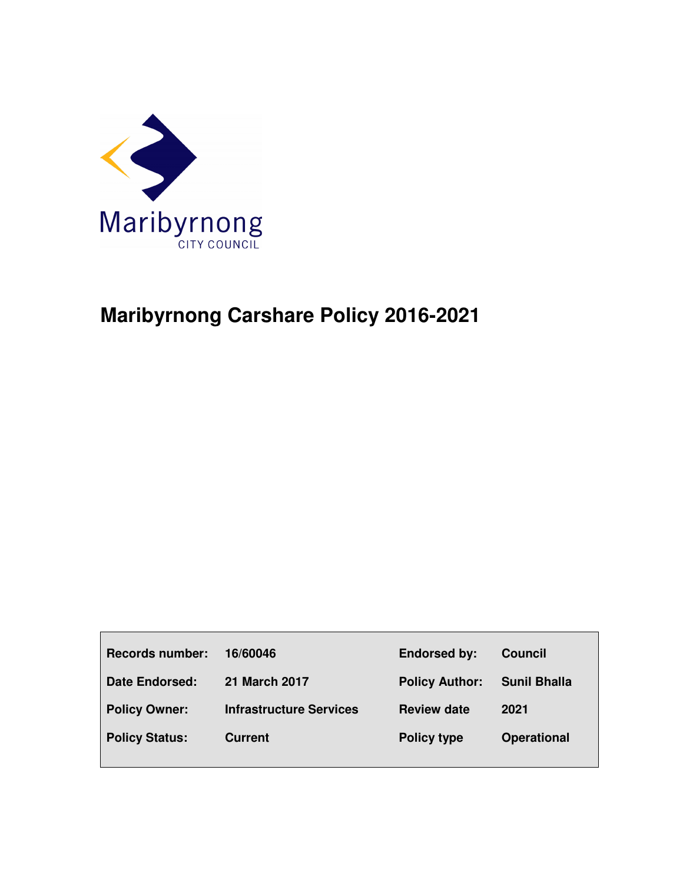

# **Maribyrnong Carshare Policy 2016-2021**

| <b>Records number:</b> | 16/60046                       | <b>Endorsed by:</b>   | <b>Council</b>      |
|------------------------|--------------------------------|-----------------------|---------------------|
| <b>Date Endorsed:</b>  | <b>21 March 2017</b>           | <b>Policy Author:</b> | <b>Sunil Bhalla</b> |
| <b>Policy Owner:</b>   | <b>Infrastructure Services</b> | <b>Review date</b>    | 2021                |
| <b>Policy Status:</b>  | <b>Current</b>                 | <b>Policy type</b>    | <b>Operational</b>  |
|                        |                                |                       |                     |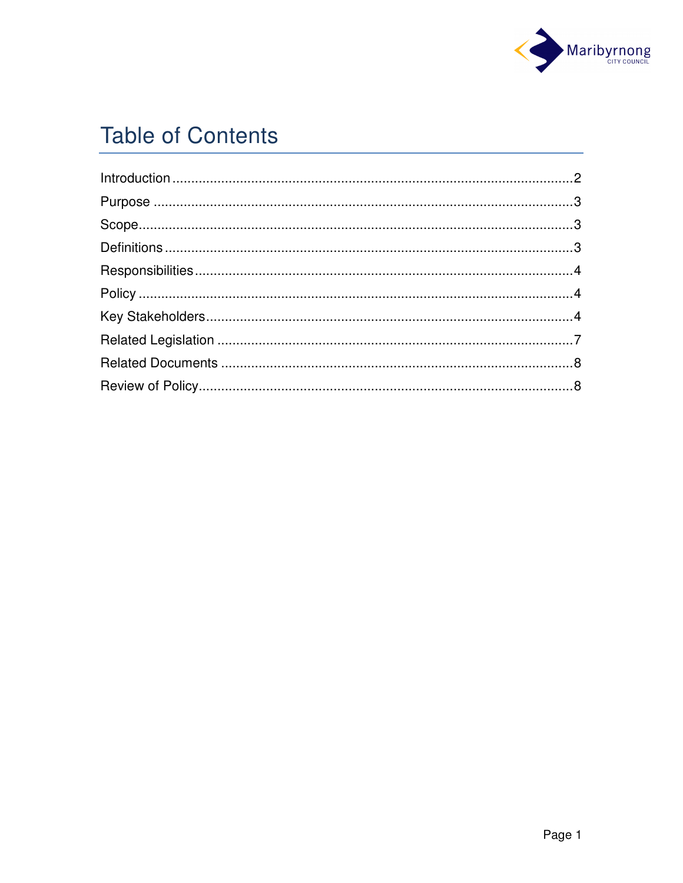

# **Table of Contents**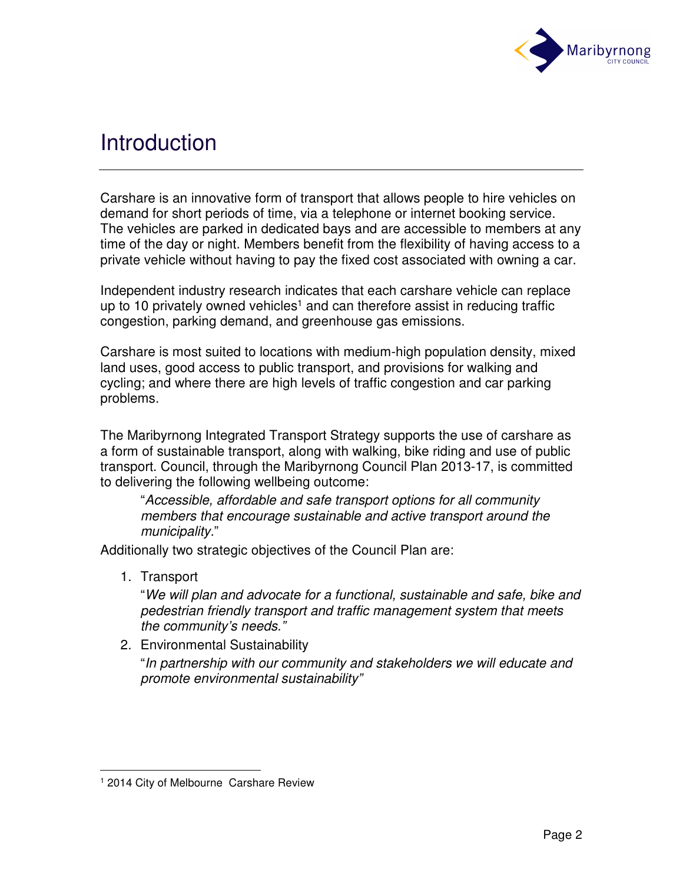

## **Introduction**

Carshare is an innovative form of transport that allows people to hire vehicles on demand for short periods of time, via a telephone or internet booking service. The vehicles are parked in dedicated bays and are accessible to members at any time of the day or night. Members benefit from the flexibility of having access to a private vehicle without having to pay the fixed cost associated with owning a car.

Independent industry research indicates that each carshare vehicle can replace up to 10 privately owned vehicles<sup>1</sup> and can therefore assist in reducing traffic congestion, parking demand, and greenhouse gas emissions.

Carshare is most suited to locations with medium-high population density, mixed land uses, good access to public transport, and provisions for walking and cycling; and where there are high levels of traffic congestion and car parking problems.

The Maribyrnong Integrated Transport Strategy supports the use of carshare as a form of sustainable transport, along with walking, bike riding and use of public transport. Council, through the Maribyrnong Council Plan 2013-17, is committed to delivering the following wellbeing outcome:

"Accessible, affordable and safe transport options for all community members that encourage sustainable and active transport around the municipality."

Additionally two strategic objectives of the Council Plan are:

1. Transport

l

"We will plan and advocate for a functional, sustainable and safe, bike and pedestrian friendly transport and traffic management system that meets the community's needs."

2. Environmental Sustainability

"In partnership with our community and stakeholders we will educate and promote environmental sustainability"

<sup>1</sup> 2014 City of Melbourne Carshare Review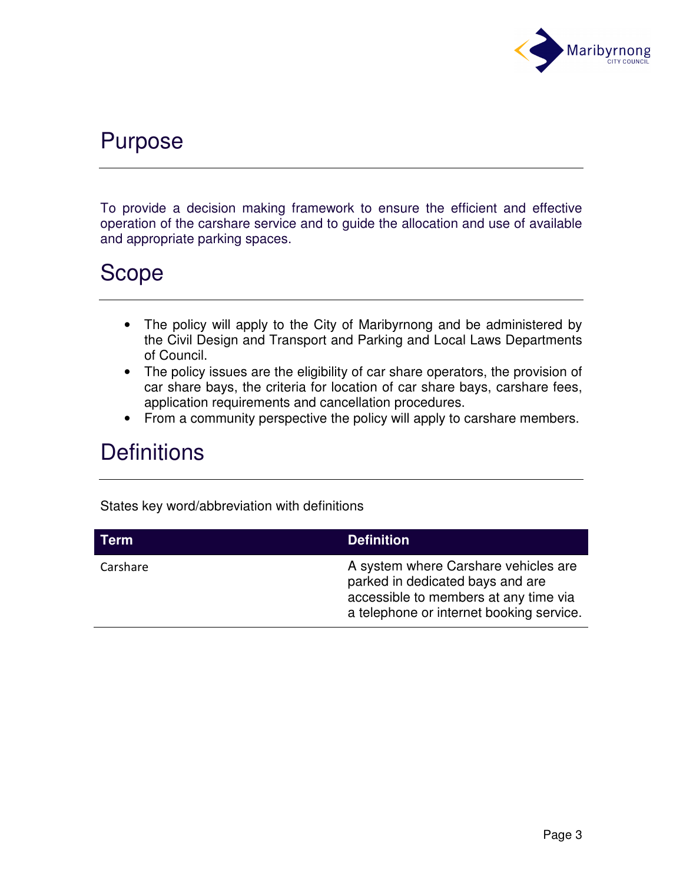

## Purpose

To provide a decision making framework to ensure the efficient and effective operation of the carshare service and to guide the allocation and use of available and appropriate parking spaces.

## Scope

- The policy will apply to the City of Maribyrnong and be administered by the Civil Design and Transport and Parking and Local Laws Departments of Council.
- The policy issues are the eligibility of car share operators, the provision of car share bays, the criteria for location of car share bays, carshare fees, application requirements and cancellation procedures.
- From a community perspective the policy will apply to carshare members.

## **Definitions**

States key word/abbreviation with definitions

| <b>Term</b> | <b>Definition</b>                                                                                                                                             |
|-------------|---------------------------------------------------------------------------------------------------------------------------------------------------------------|
| Carshare    | A system where Carshare vehicles are<br>parked in dedicated bays and are<br>accessible to members at any time via<br>a telephone or internet booking service. |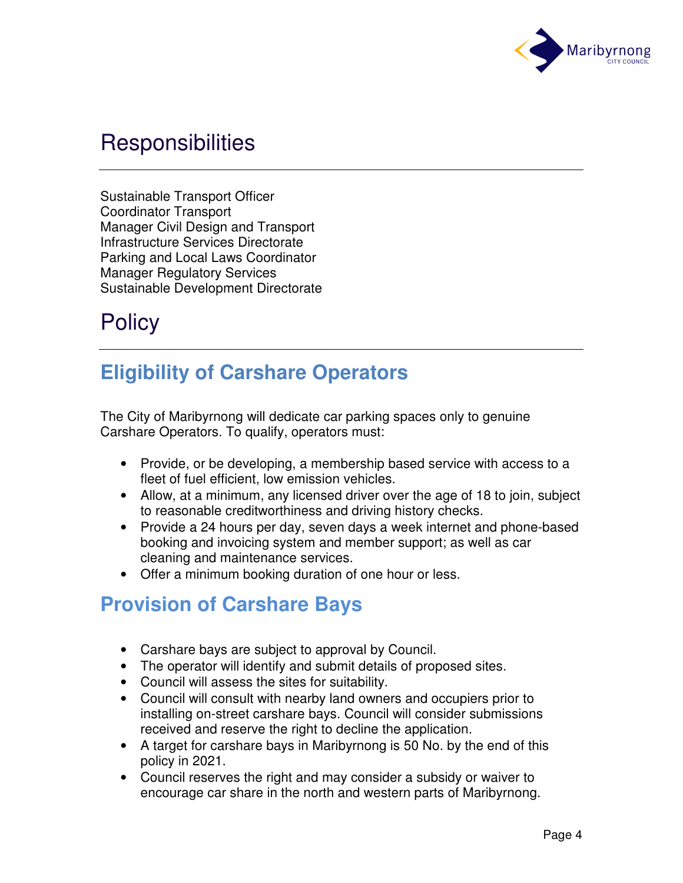

## **Responsibilities**

Sustainable Transport Officer Coordinator Transport Manager Civil Design and Transport Infrastructure Services Directorate Parking and Local Laws Coordinator Manager Regulatory Services Sustainable Development Directorate

## **Policy**

## **Eligibility of Carshare Operators**

The City of Maribyrnong will dedicate car parking spaces only to genuine Carshare Operators. To qualify, operators must:

- Provide, or be developing, a membership based service with access to a fleet of fuel efficient, low emission vehicles.
- Allow, at a minimum, any licensed driver over the age of 18 to join, subject to reasonable creditworthiness and driving history checks.
- Provide a 24 hours per day, seven days a week internet and phone-based booking and invoicing system and member support; as well as car cleaning and maintenance services.
- Offer a minimum booking duration of one hour or less.

### **Provision of Carshare Bays**

- Carshare bays are subject to approval by Council.
- The operator will identify and submit details of proposed sites.
- Council will assess the sites for suitability.
- Council will consult with nearby land owners and occupiers prior to installing on-street carshare bays. Council will consider submissions received and reserve the right to decline the application.
- A target for carshare bays in Maribyrnong is 50 No. by the end of this policy in 2021.
- Council reserves the right and may consider a subsidy or waiver to encourage car share in the north and western parts of Maribyrnong.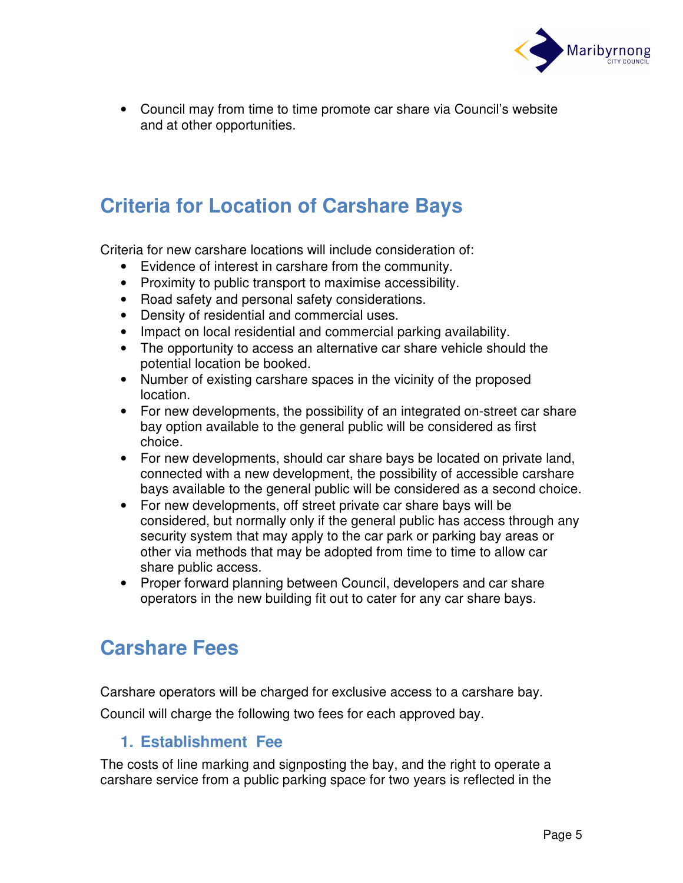

• Council may from time to time promote car share via Council's website and at other opportunities.

## **Criteria for Location of Carshare Bays**

Criteria for new carshare locations will include consideration of:

- Evidence of interest in carshare from the community.
- Proximity to public transport to maximise accessibility.
- Road safety and personal safety considerations.
- Density of residential and commercial uses.
- Impact on local residential and commercial parking availability.
- The opportunity to access an alternative car share vehicle should the potential location be booked.
- Number of existing carshare spaces in the vicinity of the proposed location.
- For new developments, the possibility of an integrated on-street car share bay option available to the general public will be considered as first choice.
- For new developments, should car share bays be located on private land, connected with a new development, the possibility of accessible carshare bays available to the general public will be considered as a second choice.
- For new developments, off street private car share bays will be considered, but normally only if the general public has access through any security system that may apply to the car park or parking bay areas or other via methods that may be adopted from time to time to allow car share public access.
- Proper forward planning between Council, developers and car share operators in the new building fit out to cater for any car share bays.

### **Carshare Fees**

Carshare operators will be charged for exclusive access to a carshare bay.

Council will charge the following two fees for each approved bay.

#### **1. Establishment Fee**

The costs of line marking and signposting the bay, and the right to operate a carshare service from a public parking space for two years is reflected in the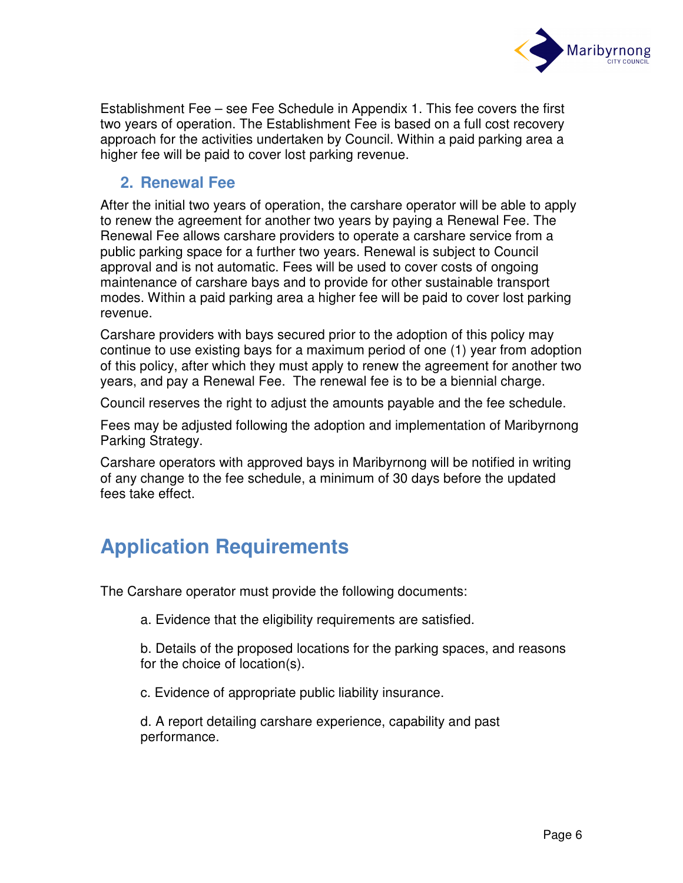

Establishment Fee – see Fee Schedule in Appendix 1. This fee covers the first two years of operation. The Establishment Fee is based on a full cost recovery approach for the activities undertaken by Council. Within a paid parking area a higher fee will be paid to cover lost parking revenue.

#### **2. Renewal Fee**

After the initial two years of operation, the carshare operator will be able to apply to renew the agreement for another two years by paying a Renewal Fee. The Renewal Fee allows carshare providers to operate a carshare service from a public parking space for a further two years. Renewal is subject to Council approval and is not automatic. Fees will be used to cover costs of ongoing maintenance of carshare bays and to provide for other sustainable transport modes. Within a paid parking area a higher fee will be paid to cover lost parking revenue.

Carshare providers with bays secured prior to the adoption of this policy may continue to use existing bays for a maximum period of one (1) year from adoption of this policy, after which they must apply to renew the agreement for another two years, and pay a Renewal Fee. The renewal fee is to be a biennial charge.

Council reserves the right to adjust the amounts payable and the fee schedule.

Fees may be adjusted following the adoption and implementation of Maribyrnong Parking Strategy.

Carshare operators with approved bays in Maribyrnong will be notified in writing of any change to the fee schedule, a minimum of 30 days before the updated fees take effect.

## **Application Requirements**

The Carshare operator must provide the following documents:

a. Evidence that the eligibility requirements are satisfied.

 b. Details of the proposed locations for the parking spaces, and reasons for the choice of location(s).

c. Evidence of appropriate public liability insurance.

 d. A report detailing carshare experience, capability and past performance.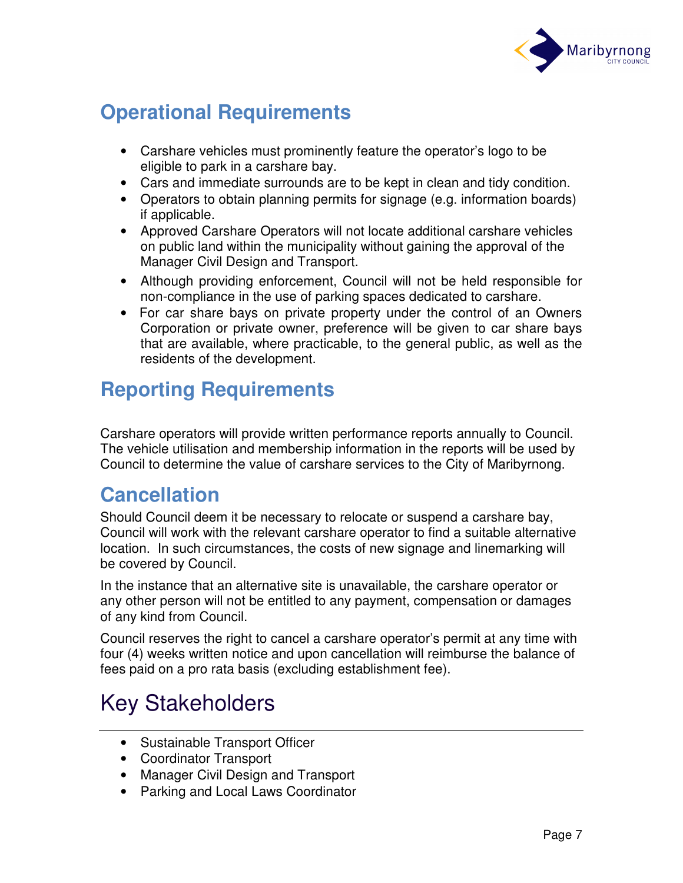

## **Operational Requirements**

- Carshare vehicles must prominently feature the operator's logo to be eligible to park in a carshare bay.
- Cars and immediate surrounds are to be kept in clean and tidy condition.
- Operators to obtain planning permits for signage (e.g. information boards) if applicable.
- Approved Carshare Operators will not locate additional carshare vehicles on public land within the municipality without gaining the approval of the Manager Civil Design and Transport.
- Although providing enforcement, Council will not be held responsible for non-compliance in the use of parking spaces dedicated to carshare.
- For car share bays on private property under the control of an Owners Corporation or private owner, preference will be given to car share bays that are available, where practicable, to the general public, as well as the residents of the development.

## **Reporting Requirements**

Carshare operators will provide written performance reports annually to Council. The vehicle utilisation and membership information in the reports will be used by Council to determine the value of carshare services to the City of Maribyrnong.

### **Cancellation**

Should Council deem it be necessary to relocate or suspend a carshare bay, Council will work with the relevant carshare operator to find a suitable alternative location. In such circumstances, the costs of new signage and linemarking will be covered by Council.

In the instance that an alternative site is unavailable, the carshare operator or any other person will not be entitled to any payment, compensation or damages of any kind from Council.

Council reserves the right to cancel a carshare operator's permit at any time with four (4) weeks written notice and upon cancellation will reimburse the balance of fees paid on a pro rata basis (excluding establishment fee).

# Key Stakeholders

- Sustainable Transport Officer
- Coordinator Transport
- Manager Civil Design and Transport
- Parking and Local Laws Coordinator